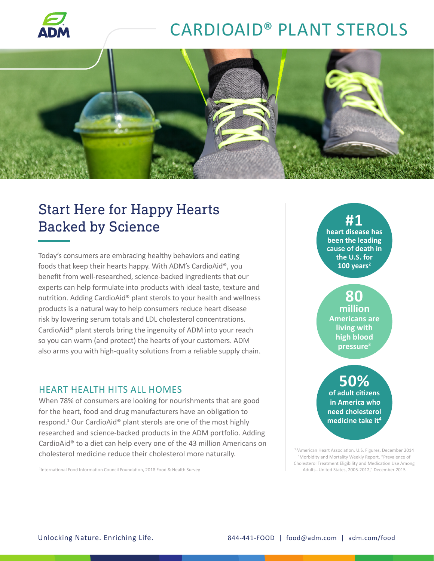

# CARDIOAID® PLANT STEROLS



### Start Here for Happy Hearts Backed by Science

Today's consumers are embracing healthy behaviors and eating foods that keep their hearts happy. With ADM's CardioAid®, you benefit from well-researched, science-backed ingredients that our experts can help formulate into products with ideal taste, texture and nutrition. Adding CardioAid® plant sterols to your health and wellness products is a natural way to help consumers reduce heart disease risk by lowering serum totals and LDL cholesterol concentrations. CardioAid® plant sterols bring the ingenuity of ADM into your reach so you can warm (and protect) the hearts of your customers. ADM also arms you with high-quality solutions from a reliable supply chain.

#### HEART HEALTH HITS ALL HOMES

When 78% of consumers are looking for nourishments that are good for the heart, food and drug manufacturers have an obligation to respond.<sup>1</sup> Our CardioAid® plant sterols are one of the most highly researched and science-backed products in the ADM portfolio. Adding CardioAid® to a diet can help every one of the 43 million Americans on cholesterol medicine reduce their cholesterol more naturally.

Adults--United States, 2005-2012," December 2015 <sup>1</sup> International Food Information Council Foundation, 2018 Food & Health Survey

**#1 heart disease has been the leading cause of death in the U.S. for 100 years2**

#### **80 million Americans are living with high blood pressure3**

#### **50% of adult citizens in America who need cholesterol medicine take it4**

2,3American Heart Association, U.S. Figures, December 2014 4 Morbidity and Mortality Weekly Report, "Prevalence of Cholesterol Treatment Eligibility and Medication Use Among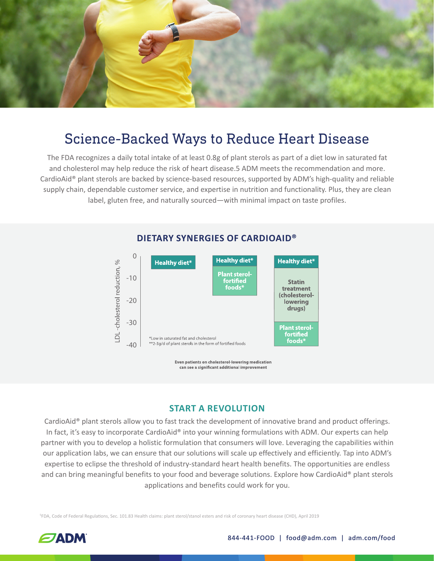

### Science-Backed Ways to Reduce Heart Disease

The FDA recognizes a daily total intake of at least 0.8g of plant sterols as part of a diet low in saturated fat and cholesterol may help reduce the risk of heart disease.5 ADM meets the recommendation and more. CardioAid® plant sterols are backed by science-based resources, supported by ADM's high-quality and reliable supply chain, dependable customer service, and expertise in nutrition and functionality. Plus, they are clean label, gluten free, and naturally sourced—with minimal impact on taste profiles.



### **DIETARY SYNERGIES OF CARDIOAID®**

Even patients on cholesterol-lowering medication can see a significant additional improvement

#### **START A REVOLUTION**

CardioAid® plant sterols allow you to fast track the development of innovative brand and product offerings. In fact, it's easy to incorporate CardioAid® into your winning formulations with ADM. Our experts can help partner with you to develop a holistic formulation that consumers will love. Leveraging the capabilities within our application labs, we can ensure that our solutions will scale up effectively and efficiently. Tap into ADM's expertise to eclipse the threshold of industry-standard heart health benefits. The opportunities are endless and can bring meaningful benefits to your food and beverage solutions. Explore how CardioAid® plant sterols applications and benefits could work for you.

5 FDA, Code of Federal Regulations, Sec. 101.83 Health claims: plant sterol/stanol esters and risk of coronary heart disease (CHD), April 2019